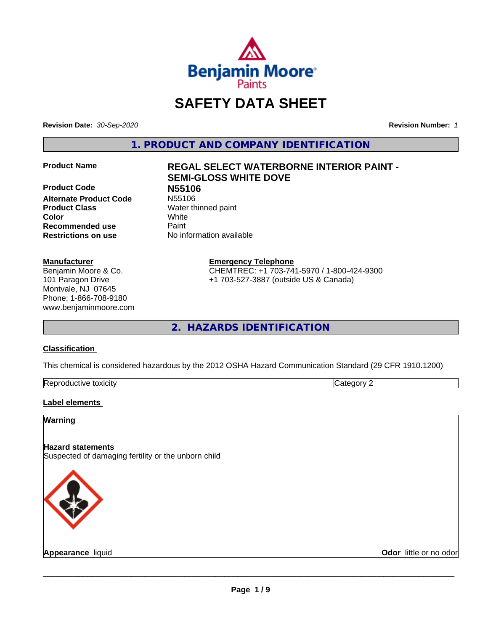

# **SAFETY DATA SHEET**

**Revision Date:** *30-Sep-2020* **Revision Number:** *1*

**1. PRODUCT AND COMPANY IDENTIFICATION**

**Product Code 1996**<br> **Alternate Product Code** N55106 **Alternate Product Code Product Class** Water thinned paint **Color** White **Recommended use Caint Restrictions on use** No information available

# **Manufacturer**

Benjamin Moore & Co. 101 Paragon Drive Montvale, NJ 07645 Phone: 1-866-708-9180 www.benjaminmoore.com

# **Product Name REGAL SELECT WATERBORNE INTERIOR PAINT - SEMI-GLOSS WHITE DOVE**

**Emergency Telephone**

CHEMTREC: +1 703-741-5970 / 1-800-424-9300 +1 703-527-3887 (outside US & Canada)

**2. HAZARDS IDENTIFICATION**

# **Classification**

This chemical is considered hazardous by the 2012 OSHA Hazard Communication Standard (29 CFR 1910.1200)

| -<br>Repr<br>toxicity | - - -<br>. זרי<br>.<br> |
|-----------------------|-------------------------|

# **Label elements**

# **Warning**

# **Hazard statements**

Suspected of damaging fertility or the unborn child



**Appearance** liquid **Contract Contract Contract Contract Contract Contract Contract Contract Contract Contract Contract Contract Contract Contract Contract Contract Contract Contract Contract Contract Contract Contract Con**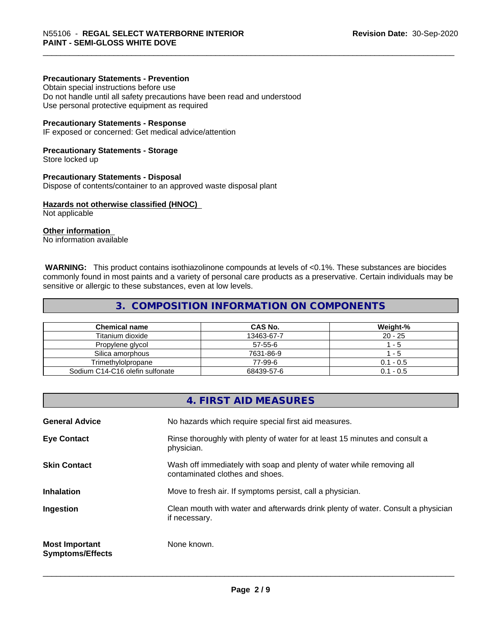# **Precautionary Statements - Prevention**

Obtain special instructions before use Do not handle until all safety precautions have been read and understood Use personal protective equipment as required

#### **Precautionary Statements - Response**

IF exposed or concerned: Get medical advice/attention

#### **Precautionary Statements - Storage**

Store locked up

#### **Precautionary Statements - Disposal**

Dispose of contents/container to an approved waste disposal plant

#### **Hazards not otherwise classified (HNOC)**

Not applicable

# **Other information**

No information available

 **WARNING:** This product contains isothiazolinone compounds at levels of <0.1%. These substances are biocides commonly found in most paints and a variety of personal care products as a preservative. Certain individuals may be sensitive or allergic to these substances, even at low levels.

# **3. COMPOSITION INFORMATION ON COMPONENTS**

| <b>Chemical name</b>            | CAS No.    | Weight-%    |
|---------------------------------|------------|-------------|
| Titanium dioxide                | 13463-67-7 | $20 - 25$   |
| Propylene glycol                | 57-55-6    | - 5         |
| Silica amorphous                | 7631-86-9  | - 5         |
| Trimethvlolpropane              | 77-99-6    | $0.1 - 0.5$ |
| Sodium C14-C16 olefin sulfonate | 68439-57-6 | $0.1 - 0.5$ |

# **4. FIRST AID MEASURES**

| <b>General Advice</b>                            | No hazards which require special first aid measures.                                                     |
|--------------------------------------------------|----------------------------------------------------------------------------------------------------------|
| <b>Eye Contact</b>                               | Rinse thoroughly with plenty of water for at least 15 minutes and consult a<br>physician.                |
| <b>Skin Contact</b>                              | Wash off immediately with soap and plenty of water while removing all<br>contaminated clothes and shoes. |
| <b>Inhalation</b>                                | Move to fresh air. If symptoms persist, call a physician.                                                |
| Ingestion                                        | Clean mouth with water and afterwards drink plenty of water. Consult a physician<br>if necessary.        |
| <b>Most Important</b><br><b>Symptoms/Effects</b> | None known.                                                                                              |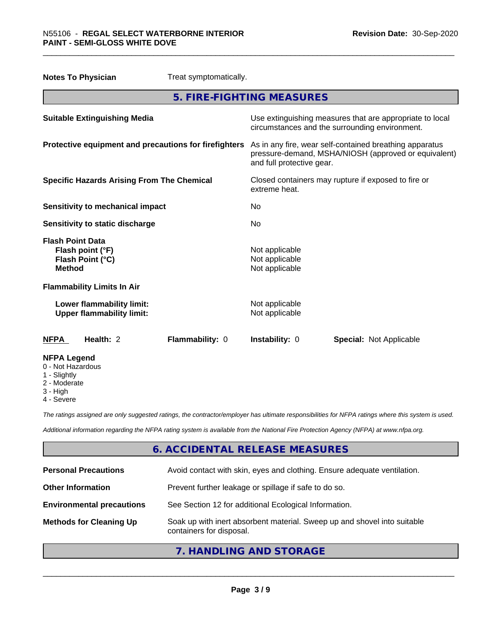| <b>Notes To Physician</b><br>Treat symptomatically.                              |                                                                                                                                              |
|----------------------------------------------------------------------------------|----------------------------------------------------------------------------------------------------------------------------------------------|
|                                                                                  | 5. FIRE-FIGHTING MEASURES                                                                                                                    |
| <b>Suitable Extinguishing Media</b>                                              | Use extinguishing measures that are appropriate to local<br>circumstances and the surrounding environment.                                   |
| Protective equipment and precautions for firefighters                            | As in any fire, wear self-contained breathing apparatus<br>pressure-demand, MSHA/NIOSH (approved or equivalent)<br>and full protective gear. |
| <b>Specific Hazards Arising From The Chemical</b>                                | Closed containers may rupture if exposed to fire or<br>extreme heat.                                                                         |
| <b>Sensitivity to mechanical impact</b>                                          | No.                                                                                                                                          |
| Sensitivity to static discharge                                                  | No.                                                                                                                                          |
| <b>Flash Point Data</b><br>Flash point (°F)<br>Flash Point (°C)<br><b>Method</b> | Not applicable<br>Not applicable<br>Not applicable                                                                                           |
| <b>Flammability Limits In Air</b>                                                |                                                                                                                                              |
| Lower flammability limit:<br><b>Upper flammability limit:</b>                    | Not applicable<br>Not applicable                                                                                                             |
| Health: 2<br>Flammability: 0<br><b>NFPA</b>                                      | Instability: 0<br><b>Special: Not Applicable</b>                                                                                             |
| <b>NFPA Legend</b><br>0 - Not Hazardous<br>1 - Slightly<br>2 - Moderate          |                                                                                                                                              |

- 2 Moderate
- 3 High
- 4 Severe

*The ratings assigned are only suggested ratings, the contractor/employer has ultimate responsibilities for NFPA ratings where this system is used.*

*Additional information regarding the NFPA rating system is available from the National Fire Protection Agency (NFPA) at www.nfpa.org.*

# **6. ACCIDENTAL RELEASE MEASURES**

| <b>Personal Precautions</b>      | Avoid contact with skin, eyes and clothing. Ensure adequate ventilation.                             |
|----------------------------------|------------------------------------------------------------------------------------------------------|
| <b>Other Information</b>         | Prevent further leakage or spillage if safe to do so.                                                |
| <b>Environmental precautions</b> | See Section 12 for additional Ecological Information.                                                |
| <b>Methods for Cleaning Up</b>   | Soak up with inert absorbent material. Sweep up and shovel into suitable<br>containers for disposal. |

**7. HANDLING AND STORAGE**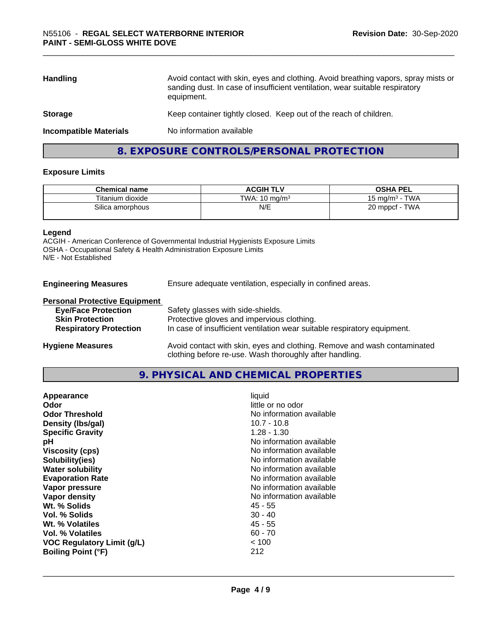| <b>Handling</b>               | Avoid contact with skin, eyes and clothing. Avoid breathing vapors, spray mists or<br>sanding dust. In case of insufficient ventilation, wear suitable respiratory<br>equipment. |
|-------------------------------|----------------------------------------------------------------------------------------------------------------------------------------------------------------------------------|
| <b>Storage</b>                | Keep container tightly closed. Keep out of the reach of children.                                                                                                                |
| <b>Incompatible Materials</b> | No information available                                                                                                                                                         |
|                               |                                                                                                                                                                                  |

# **8. EXPOSURE CONTROLS/PERSONAL PROTECTION**

# **Exposure Limits**

| <b>Chemical name</b> | <b>ACGIH TLV</b>         | <b>OSHA PEL</b>           |
|----------------------|--------------------------|---------------------------|
| Titanium dioxide     | TWA: $10 \text{ ma/m}^3$ | <b>TWA</b><br>15 mg/m $3$ |
| Silica amorphous     | N/E                      | TWA<br>$20$ mppcf -       |

#### **Legend**

ACGIH - American Conference of Governmental Industrial Hygienists Exposure Limits OSHA - Occupational Safety & Health Administration Exposure Limits N/E - Not Established

| <b>Engineering Measures</b> | Ensure adequate ventilation, especially in confined areas. |
|-----------------------------|------------------------------------------------------------|
|-----------------------------|------------------------------------------------------------|

#### **Personal Protective Equipment**

| <b>Eye/Face Protection</b>    | Safety glasses with side-shields.                                        |
|-------------------------------|--------------------------------------------------------------------------|
| <b>Skin Protection</b>        | Protective gloves and impervious clothing.                               |
| <b>Respiratory Protection</b> | In case of insufficient ventilation wear suitable respiratory equipment. |
| <b>Hygiene Measures</b>       | Avoid contact with skin, eyes and clothing. Remove and wash contaminated |

# **9. PHYSICAL AND CHEMICAL PROPERTIES**

clothing before re-use. Wash thoroughly after handling.

| $1.28 - 1.30$<br><b>Specific Gravity</b><br>No information available<br>рH<br><b>Viscosity (cps)</b><br>No information available<br>No information available<br>Solubility(ies)<br>No information available<br><b>Water solubility</b><br><b>Evaporation Rate</b><br>No information available<br>No information available<br>Vapor pressure<br>No information available<br>Vapor density<br>Wt. % Solids<br>45 - 55<br>Vol. % Solids<br>$30 - 40$<br>$45 - 55$<br>Wt. % Volatiles<br>Vol. % Volatiles<br>$60 - 70$<br>~< 100<br><b>VOC Regulatory Limit (g/L)</b><br>212<br><b>Boiling Point (°F)</b> | Appearance<br>Odor<br><b>Odor Threshold</b><br>Density (Ibs/gal) | liquid<br>little or no odor<br>No information available<br>$10.7 - 10.8$ |
|-------------------------------------------------------------------------------------------------------------------------------------------------------------------------------------------------------------------------------------------------------------------------------------------------------------------------------------------------------------------------------------------------------------------------------------------------------------------------------------------------------------------------------------------------------------------------------------------------------|------------------------------------------------------------------|--------------------------------------------------------------------------|
|-------------------------------------------------------------------------------------------------------------------------------------------------------------------------------------------------------------------------------------------------------------------------------------------------------------------------------------------------------------------------------------------------------------------------------------------------------------------------------------------------------------------------------------------------------------------------------------------------------|------------------------------------------------------------------|--------------------------------------------------------------------------|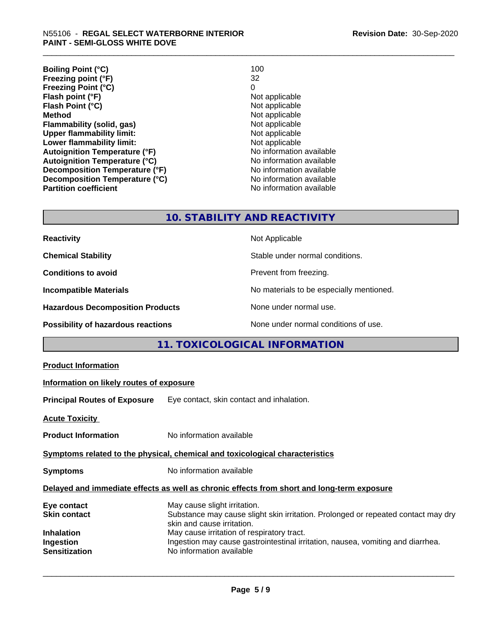| <b>Boiling Point (°C)</b>            | 100                      |
|--------------------------------------|--------------------------|
| Freezing point (°F)                  | 32                       |
| <b>Freezing Point (°C)</b>           | 0                        |
| Flash point (°F)                     | Not applicable           |
| Flash Point (°C)                     | Not applicable           |
| <b>Method</b>                        | Not applicable           |
| Flammability (solid, gas)            | Not applicable           |
| <b>Upper flammability limit:</b>     | Not applicable           |
| Lower flammability limit:            | Not applicable           |
| <b>Autoignition Temperature (°F)</b> | No information available |
| <b>Autoignition Temperature (°C)</b> | No information available |
| Decomposition Temperature (°F)       | No information available |
| Decomposition Temperature (°C)       | No information available |
| <b>Partition coefficient</b>         | No information available |

# **10. STABILITY AND REACTIVITY**

| <b>Reactivity</b>                         | Not Applicable                           |
|-------------------------------------------|------------------------------------------|
| <b>Chemical Stability</b>                 | Stable under normal conditions.          |
| <b>Conditions to avoid</b>                | Prevent from freezing.                   |
| <b>Incompatible Materials</b>             | No materials to be especially mentioned. |
| <b>Hazardous Decomposition Products</b>   | None under normal use.                   |
| <b>Possibility of hazardous reactions</b> | None under normal conditions of use.     |

# **11. TOXICOLOGICAL INFORMATION**

| <b>Product Information</b>                                                                   |                                                                                                                                                                                                                                                                                                              |  |  |
|----------------------------------------------------------------------------------------------|--------------------------------------------------------------------------------------------------------------------------------------------------------------------------------------------------------------------------------------------------------------------------------------------------------------|--|--|
| Information on likely routes of exposure                                                     |                                                                                                                                                                                                                                                                                                              |  |  |
| <b>Principal Routes of Exposure</b>                                                          | Eye contact, skin contact and inhalation.                                                                                                                                                                                                                                                                    |  |  |
| <b>Acute Toxicity</b>                                                                        |                                                                                                                                                                                                                                                                                                              |  |  |
| <b>Product Information</b>                                                                   | No information available                                                                                                                                                                                                                                                                                     |  |  |
| Symptoms related to the physical, chemical and toxicological characteristics                 |                                                                                                                                                                                                                                                                                                              |  |  |
| <b>Symptoms</b>                                                                              | No information available                                                                                                                                                                                                                                                                                     |  |  |
| Delayed and immediate effects as well as chronic effects from short and long-term exposure   |                                                                                                                                                                                                                                                                                                              |  |  |
| Eye contact<br><b>Skin contact</b><br><b>Inhalation</b><br>Ingestion<br><b>Sensitization</b> | May cause slight irritation.<br>Substance may cause slight skin irritation. Prolonged or repeated contact may dry<br>skin and cause irritation.<br>May cause irritation of respiratory tract.<br>Ingestion may cause gastrointestinal irritation, nausea, vomiting and diarrhea.<br>No information available |  |  |
|                                                                                              |                                                                                                                                                                                                                                                                                                              |  |  |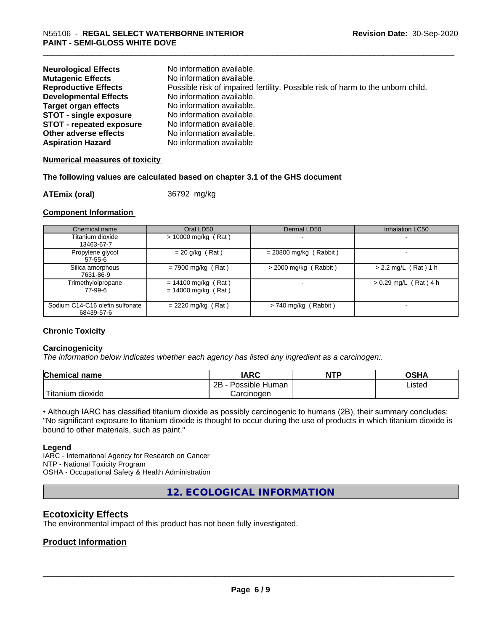| <b>Neurological Effects</b><br><b>Mutagenic Effects</b> | No information available.<br>No information available.                          |
|---------------------------------------------------------|---------------------------------------------------------------------------------|
|                                                         |                                                                                 |
| <b>Reproductive Effects</b>                             | Possible risk of impaired fertility. Possible risk of harm to the unborn child. |
| <b>Developmental Effects</b>                            | No information available.                                                       |
| <b>Target organ effects</b>                             | No information available.                                                       |
| <b>STOT - single exposure</b>                           | No information available.                                                       |
| <b>STOT - repeated exposure</b>                         | No information available.                                                       |
| Other adverse effects                                   | No information available.                                                       |
| <b>Aspiration Hazard</b>                                | No information available                                                        |

# **Numerical measures of toxicity**

# **The following values are calculated based on chapter 3.1 of the GHS document**

**ATEmix (oral)** 36792 mg/kg

# **Component Information**

| Chemical name                                 | Oral LD50                                      | Dermal LD50              | Inhalation LC50         |
|-----------------------------------------------|------------------------------------------------|--------------------------|-------------------------|
| Titanium dioxide<br>13463-67-7                | $> 10000$ mg/kg (Rat)                          |                          |                         |
| Propylene glycol<br>$57 - 55 - 6$             | $= 20$ g/kg (Rat)                              | $= 20800$ mg/kg (Rabbit) |                         |
| Silica amorphous<br>7631-86-9                 | $= 7900$ mg/kg (Rat)                           | $>$ 2000 mg/kg (Rabbit)  | $> 2.2$ mg/L (Rat) 1 h  |
| Trimethylolpropane<br>77-99-6                 | $= 14100$ mg/kg (Rat)<br>$= 14000$ mg/kg (Rat) |                          | $> 0.29$ mg/L (Rat) 4 h |
| Sodium C14-C16 olefin sulfonate<br>68439-57-6 | $= 2220$ mg/kg (Rat)                           | $> 740$ mg/kg (Rabbit)   |                         |

# **Chronic Toxicity**

# **Carcinogenicity**

*The information below indicateswhether each agency has listed any ingredient as a carcinogen:.*

| <b>Chemical name</b>   | <b>IARC</b>                    | <b>NTP</b> | <b>OSHA</b> |
|------------------------|--------------------------------|------------|-------------|
|                        | .<br>2B<br>Possible<br>Human - |            | Listed<br>. |
| m dioxide<br>l itanıum | Carcinoɑen                     |            |             |

• Although IARC has classified titanium dioxide as possibly carcinogenic to humans (2B), their summary concludes: "No significant exposure to titanium dioxide is thought to occur during the use of products in which titanium dioxide is bound to other materials, such as paint."

# **Legend**

IARC - International Agency for Research on Cancer NTP - National Toxicity Program OSHA - Occupational Safety & Health Administration

**12. ECOLOGICAL INFORMATION**

# **Ecotoxicity Effects**

The environmental impact of this product has not been fully investigated.

# **Product Information**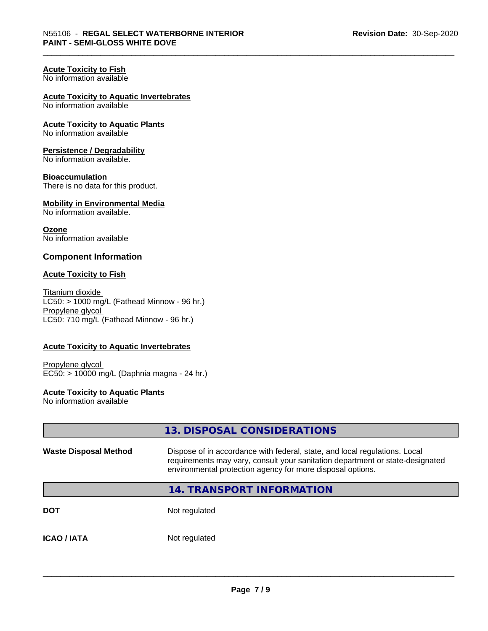# **Acute Toxicity to Fish**

No information available

# **Acute Toxicity to Aquatic Invertebrates**

No information available

**Acute Toxicity to Aquatic Plants** No information available

# **Persistence / Degradability**

No information available.

# **Bioaccumulation**

There is no data for this product.

#### **Mobility in Environmental Media** No information available.

**Ozone** No information available

# **Component Information**

# **Acute Toxicity to Fish**

Titanium dioxide  $LC50:$  > 1000 mg/L (Fathead Minnow - 96 hr.) Propylene glycol LC50: 710 mg/L (Fathead Minnow - 96 hr.)

# **Acute Toxicity to Aquatic Invertebrates**

Propylene glycol EC50: > 10000 mg/L (Daphnia magna - 24 hr.)

# **Acute Toxicity to Aquatic Plants**

No information available

|                              | 13. DISPOSAL CONSIDERATIONS                                                                                                                                                                                               |
|------------------------------|---------------------------------------------------------------------------------------------------------------------------------------------------------------------------------------------------------------------------|
| <b>Waste Disposal Method</b> | Dispose of in accordance with federal, state, and local regulations. Local<br>requirements may vary, consult your sanitation department or state-designated<br>environmental protection agency for more disposal options. |
|                              | <b>14. TRANSPORT INFORMATION</b>                                                                                                                                                                                          |
| <b>DOT</b>                   | Not regulated                                                                                                                                                                                                             |
| <b>ICAO / IATA</b>           | Not regulated                                                                                                                                                                                                             |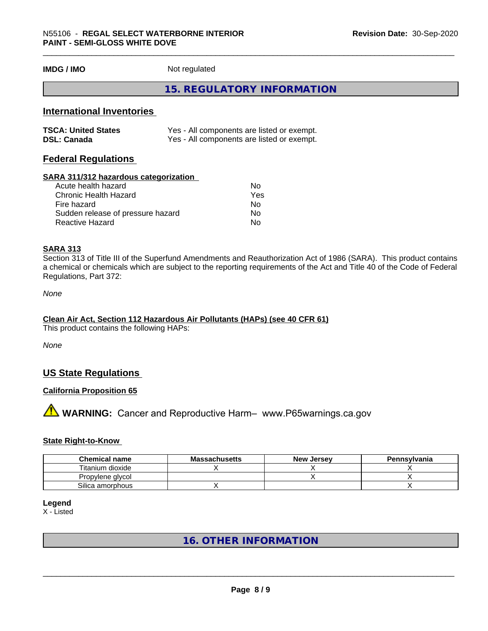**IMDG / IMO** Not regulated

# **15. REGULATORY INFORMATION**

# **International Inventories**

| <b>TSCA: United States</b> | Yes - All components are listed or exempt. |
|----------------------------|--------------------------------------------|
| <b>DSL: Canada</b>         | Yes - All components are listed or exempt. |

# **Federal Regulations**

#### **SARA 311/312 hazardous categorization**

| Acute health hazard               | No  |
|-----------------------------------|-----|
| Chronic Health Hazard             | Yes |
| Fire hazard                       | N٥  |
| Sudden release of pressure hazard | Nο  |
| Reactive Hazard                   | N٥  |

# **SARA 313**

Section 313 of Title III of the Superfund Amendments and Reauthorization Act of 1986 (SARA). This product contains a chemical or chemicals which are subject to the reporting requirements of the Act and Title 40 of the Code of Federal Regulations, Part 372:

*None*

# **Clean Air Act,Section 112 Hazardous Air Pollutants (HAPs) (see 40 CFR 61)**

This product contains the following HAPs:

*None*

# **US State Regulations**

# **California Proposition 65**

# **AVIMARNING:** Cancer and Reproductive Harm– www.P65warnings.ca.gov

# **State Right-to-Know**

| <b>Chemical name</b> | <b>Massachusetts</b> | <b>New Jersey</b> | Pennsylvania |
|----------------------|----------------------|-------------------|--------------|
| Titanium dioxide     |                      |                   |              |
| Propylene glycol     |                      |                   |              |
| Silica amorphous     |                      |                   |              |

# **Legend**

X - Listed

# **16. OTHER INFORMATION**